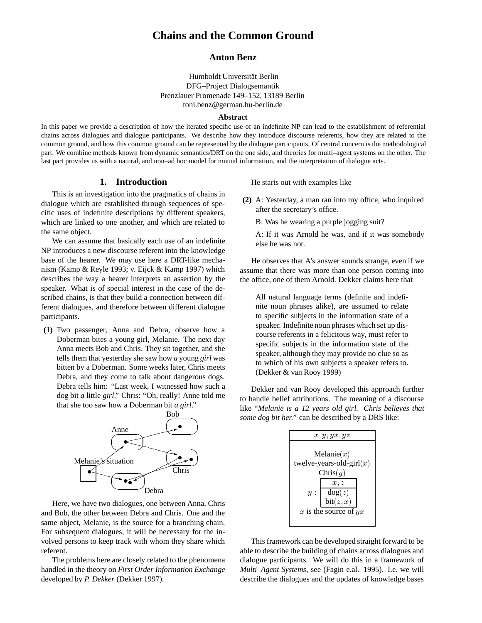# **Chains and the Common Ground**

## **Anton Benz**

Humboldt Universität Berlin DFG–Project Dialogsemantik Prenzlauer Promenade 149–152, 13189 Berlin toni.benz@german.hu-berlin.de

### **Abstract**

In this paper we provide a description of how the iterated specific use of an indefinite NP can lead to the establishment of referential chains across dialogues and dialogue participants. We describe how they introduce discourse referents, how they are related to the common ground, and how this common ground can be represented by the dialogue participants. Of central concern is the methodological part. We combine methods known from dynamic semantics/DRT on the one side, and theories for multi–agent systems on the other. The last part provides us with a natural, and non–ad hoc model for mutual information, and the interpretation of dialogue acts.

### **1. Introduction**

This is an investigation into the pragmatics of chains in dialogue which are established through sequences of specific uses of indefinite descriptions by different speakers, which are linked to one another, and which are related to the same object.

We can assume that basically each use of an indefinite NP introduces a new discourse referent into the knowledge base of the hearer. We may use here a DRT-like mechanism (Kamp & Reyle 1993; v. Eijck & Kamp 1997) which describes the way a hearer interprets an assertion by the speaker. What is of special interest in the case of the described chains, is that they build a connection between different dialogues, and therefore between different dialogue participants.

**(1)** Two passenger, Anna and Debra, observe how a Doberman bites a young girl, Melanie. The next day Anna meets Bob and Chris. They sit together, and she tells them that yesterday she saw how *a* young *girl* was bitten by a Doberman. Some weeks later, Chris meets Debra, and they come to talk about dangerous dogs. Debra tells him: "Last week, I witnessed how such a dog bit *a* little *girl*." Chris: "Oh, really! Anne told me that she too saw how a Doberman bit *a girl*."



Here, we have two dialogues, one between Anna, Chris and Bob, the other between Debra and Chris. One and the same object, Melanie, is the source for a branching chain. For subsequent dialogues, it will be necessary for the involved persons to keep track with whom they share which referent.

The problems here are closely related to the phenomena handled in the theory on *First Order Information Exchange* developed by *P. Dekker* (Dekker 1997).

He starts out with examples like

- **(2)** A: Yesterday, a man ran into my office, who inquired after the secretary's office.
	- B: Was he wearing a purple jogging suit?

A: If it was Arnold he was, and if it was somebody else he was not.

He observes that A's answer sounds strange, even if we assume that there was more than one person coming into the office, one of them Arnold. Dekker claims here that

All natural language terms (definite and indefinite noun phrases alike), are assumed to relate to specific subjects in the information state of a speaker. Indefinite noun phrases which set up discourse referents in a felicitous way, must refer to specific subjects in the information state of the speaker, although they may provide no clue so as to which of his own subjects a speaker refers to. (Dekker & van Rooy 1999)

**bou** *some dog bit her.*" can be described by a DRS like: Dekker and van Rooy developed this approach further to handle belief attributions. The meaning of a discourse like "*Melanie is a 12 years old girl. Chris believes that*

|           | x, y, yx, yz                                              |
|-----------|-----------------------------------------------------------|
|           | Melanie $(x)$                                             |
|           | twelve-years-old-girl $(x)$                               |
|           | $\text{Chris}(y)$                                         |
|           | x, z<br>$\frac{\text{dog}(z)}{\text{bit}(z, x)}$<br>$y$ : |
| na, Chris |                                                           |
| e and the | x is the source of $yx$                                   |
| na chain  |                                                           |

This framework can be developed straight forward to be able to describe the building of chains across dialogues and dialogue participants. We will do this in a framework of *Multi–Agent Systems*, see (Fagin e.al. 1995). I.e. we will describe the dialogues and the updates of knowledge bases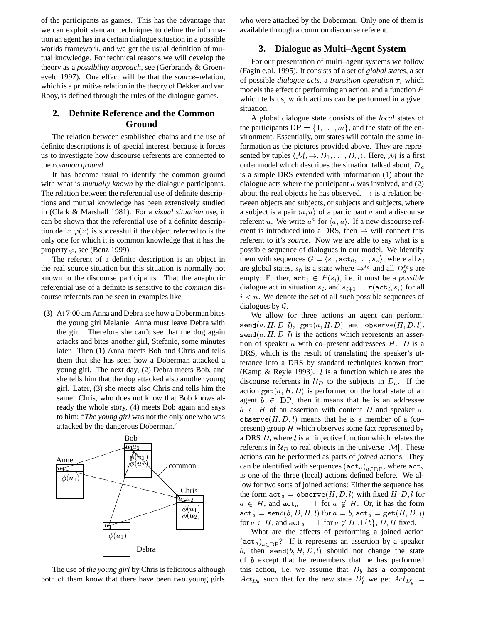of the participants as games. This has the advantage that we can exploit standard techniques to define the information an agent has in a certain dialogue situation in a possible worlds framework, and we get the usual definition of mutual knowledge. For technical reasons we will develop the theory as a *possibility approach*, see (Gerbrandy & Groeneveld 1997). One effect will be that the *source*–relation, which is a primitive relation in the theory of Dekker and van Rooy, is defined through the rules of the dialogue games.

## **2. Definite Reference and the Common Ground**

The relation between established chains and the use of definite descriptions is of special interest, because it forces us to investigate how discourse referents are connected to the *common ground*.

It has become usual to identify the common ground with what is *mutually known* by the dialogue participants. The relation between the referential use of definite descriptions and mutual knowledge has been extensively studied in (Clark & Marshall 1981). For a *visual situation* use, it can be shown that the referential use of a definite description def  $x \varphi(x)$  is successful if the object referred to is the only one for which it is common knowledge that it has the property  $\varphi$ , see (Benz 1999).

The referent of a definite description is an object in the real source situation but this situation is normally not known to the discourse participants. That the anaphoric referential use of a definite is sensitive to the *common* discourse referents can be seen in examples like

**(3)** At 7:00 am Anna and Debra see how a Doberman bites the young girl Melanie. Anna must leave Debra with the girl. Therefore she can't see that the dog again attacks and bites another girl, Stefanie, some minutes later. Then (1) Anna meets Bob and Chris and tells them that she has seen how a Doberman attacked a young girl. The next day, (2) Debra meets Bob, and she tells him that the dog attacked also another young girl. Later, (3) she meets also Chris and tells him the same. Chris, who does not know that Bob knows already the whole story, (4) meets Bob again and says to him: "*The young girl* was not the only one who was attacked by the dangerous Doberman."



The use of *the young girl* by Chris is felicitous although both of them know that there have been two young girls

who were attacked by the Doberman. Only one of them is available through a common discourse referent.

### **3. Dialogue as Multi–Agent System**

For our presentation of multi–agent systems we follow (Fagin e.al. 1995). It consists of a set of *global states*, a set of possible *dialogue acts*, a *transition operation*  $\tau$ , which models the effect of performing an action, and a function <sup>P</sup> which tells us, which actions can be performed in a given situation.

A global dialogue state consists of the *local* states of the participants  $DP = \{1, \ldots, m\}$ , and the state of the environment. Essentially, our states will contain the same information as the pictures provided above. They are represented by tuples  $\langle M, \rightarrow, D_1, \ldots, D_m \rangle$ . Here, M is a first order model which describes the situation talked about,  $D_a$ is a simple DRS extended with information (1) about the dialogue acts where the participant  $a$  was involved, and  $(2)$ about the real objects he has observed.  $\rightarrow$  is a relation between objects and subjects, or subjects and subjects, where a subject is a pair  $\langle a, u \rangle$  of a participant a and a discourse referent u. We write  $u^a$  for  $\langle a, u \rangle$ . If a new discourse referent is introduced into a DRS, then  $\rightarrow$  will connect this referent to it's *source*. Now we are able to say what is a possible sequence of dialogues in our model. We identify them with sequences  $G = \langle s_0, \texttt{act}_0, \ldots, s_n \rangle$ , where all  $s_i$ are global states,  $s_0$  is a state where  $\rightarrow^{s_0}$  and all  $D_a^{s_0}$ s are empty. Further,  $\mathtt{act}_i \in P(s_i)$ , i.e. it must be a *possible* dialogue act in situation  $s_i$ , and  $s_{i+1} = \tau(\texttt{act}_i, s_i)$  for all  $i < n$ . We denote the set of all such possible sequences of dialogues by  $\mathcal G$ .

We allow for three actions an agent can perform:  $\texttt{send}(a, H, D, l), \texttt{get}(a, H, D) \text{ and observe}(H, D, l).$  $\texttt{send}(a, H, D, l)$  is the actions which represents an assertion of speaker  $\alpha$  with co–present addressees  $H$ .  $D$  is a DRS, which is the result of translating the speaker's utterance into a DRS by standard techniques known from (Kamp & Reyle 1993).  $l$  is a function which relates the discourse referents in  $U_D$  to the subjects in  $D_a$ . If the action get $(a, H, D)$  is performed on the local state of an agent  $b \in DP$ , then it means that he is an addressee  $b \in H$  of an assertion with content D and speaker a. observe $(H, D, l)$  means that he is a member of a (co– present) group  $H$  which observes some fact represented by a DRS  $D$ , where  $l$  is an injective function which relates the referents in  $\mathcal{U}_D$  to real objects in the universe  $|\mathcal{M}|$ . These actions can be performed as parts of *joined* actions. They can be identified with sequences  $(\texttt{act}_a)_{a\in\text{DP}}$ , where  $\texttt{act}_a$ is one of the three (local) actions defined before. We allow for two sorts of joined actions: Either the sequence has the form  $\mathtt{act}_a = \mathtt{observe}(H, D, l)$  with fixed  $H, D, l$  for  $a \in H$ , and  $\texttt{act}_a = \perp \text{ for } a \notin H$ . Or, it has the form  $\mathtt{act}_a = \mathtt{send}(b, D, H, l)$  for  $a = b$ ,  $\mathtt{act}_a = \mathtt{get}(H, D, l)$ for  $a \in H,$  and  $\mathtt{act}_a = \bot$  for  $a \not\in H \cup \{b\},$   $D,$   $H$  fixed.

What are the effects of performing a joined action  $(\texttt{act}_a)_{a\in\text{DP}}$ ? If it represents an assertion by a speaker b, then send $(b, H, D, l)$  should not change the state of b except that he remembers that he has performed this action, i.e. we assume that  $D<sub>b</sub>$  has a component  $Act_{D_b}$  such that for the new state  $D'_b$  we get  $Act_{D'_b}$  =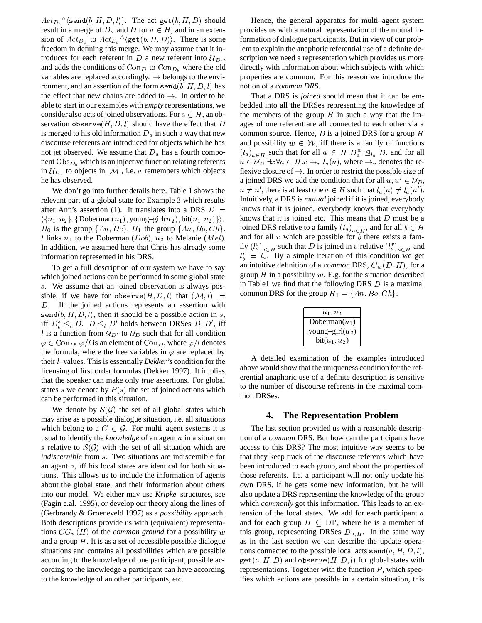$\mathit{Act}_{D_b} \land \langle \texttt{send}(b, H, D, l \rangle)$ . The act  $\mathtt{get}(b, H, D)$  should result in a merge of  $D_a$  and  $D$  for  $a \in H$ , and in an extension of  $Act_{D_a}$  to  $Act_{D_a}^{\wedge} \langle \text{get}(b, H, D) \rangle$ . There is some freedom in defining this merge. We may assume that it introduces for each referent in D a new referent into  $\mathcal{U}_{D_{b}}$ , scri and adds the conditions of  $Con_D$  to  $Con_{D_b}$  where the old variables are replaced accordingly.  $\rightarrow$  belongs to the environment, and an assertion of the form send $(b, H, D, l)$  has the effect that new chains are added to  $\rightarrow$ . In order to be able to start in our examples with *empty* representations, we consider also acts of joined observations. For  $a \in H$ , an observation observe $(H, D, l)$  should have the effect that D is merged to his old information  $D_a$  in such a way that new discourse referents are introduced for objects which he has not jet observed. We assume that  $D_a$  has a fourth component  $Obs_{D_a}$  which is an injective function relating referents in  $U_{D_a}$  to objects in  $|\mathcal{M}|$ , i.e. a remembers which objects he has observed.

We don't go into further details here. Table 1 shows the relevant part of a global state for Example 3 which results after Ann's assertion (1). It translates into a DRS  $D =$  $\langle \{u_1, u_2\}, \{\text{Doberman}(u_1), \text{young–girl}(u_2), \text{bit}(u_1, u_2)\}\rangle.$  $H_0$  is the group  $\{An, De\}$ ,  $H_1$  the group  $\{An, Bo, Ch\}$ . l links  $u_1$  to the Doberman (Dob),  $u_2$  to Melanie (Mel). In addition, we assumed here that Chris has already some information represented in his DRS.

To get a full description of our system we have to say which joined actions can be performed in some global state s. We assume that an joined observation is always possible, if we have for observe $(H, D, l)$  that  $(M, l) \models$ D. If the joined actions represents an assertion with send $(b, H, D, l)$ , then it should be a possible action in s, iff  $D_b^s \subseteq_l D$ .  $D \subseteq_l D'$  holds between DRSes  $D, D'$ , iff l is a function from  $U_{D'}$  to  $U_D$  such that for all condition  $\varphi \in \text{Con}_{D'} \varphi / l$  is an element of  $\text{Con}_{D}$ , where  $\varphi / l$  denotes the formula, where the free variables in  $\varphi$  are replaced by their l–values. This is essentially *Dekker's* condition for the licensing of first order formulas (Dekker 1997). It implies that the speaker can make only *true* assertions. For global states s we denote by  $P(s)$  the set of joined actions which can be performed in this situation.

We denote by  $S(G)$  the set of all global states which may arise as a possible dialogue situation, i.e. all situations which belong to a  $G \in \mathcal{G}$ . For multi–agent systems it is usual to identify the *knowledge* of an agent a in a situation s relative to  $S(\mathcal{G})$  with the set of all situation which are *indiscernible* from <sup>s</sup>. Two situations are indiscernible for an agent a, iff his local states are identical for both situations. This allows us to include the information of agents about the global state, and their information about others into our model. We either may use *Kripke*–structures, see (Fagin e.al. 1995), or develop our theory along the lines of (Gerbrandy & Groeneveld 1997) as a *possibility* approach. Both descriptions provide us with (equivalent) representations  $CG_w(H)$  of the *common ground* for a possibility w and a group  $H$ . It is as a set of accessible possible dialogue situations and contains all possibilities which are possible according to the knowledge of one participant, possible according to the knowledge a participant can have according to the knowledge of an other participants, etc.

Hence, the general apparatus for multi–agent system provides us with a natural representation of the mutual information of dialogue participants. But in view of our problem to explain the anaphoric referential use of a definite description we need a representation which provides us more directly with information about which subjects with which properties are common. For this reason we introduce the notion of a *common DRS*.

That a DRS is *joined* should mean that it can be embedded into all the DRSes representing the knowledge of the members of the group  $H$  in such a way that the images of one referent are all connected to each other via a common source. Hence,  $D$  is a joined DRS for a group  $H$ and possibility  $w \in \mathcal{W}$ , iff there is a family of functions  $(l_a)_{a \in H}$  such that for all  $a \in H D_a^w \leq l_a D$ , and for all  $u \in \mathcal{U}_D \exists x \forall a \in H \: x \rightarrow_r l_a(u)$ , where  $\rightarrow_r$  denotes the reflexive closure of  $\rightarrow$ . In order to restrict the possible size of a joined DRS we add the condition that for all  $u, u' \in \mathcal{U}_D$ ,  $u \neq u'$ , there is at least one  $a \in H$  such that  $l_a(u) \neq l_a(u')$ . Intuitively, a DRS is *mutual* joined if it is joined, everybody knows that it is joined, everybody knows that everybody knows that it is joined etc. This means that  $D$  must be a joined DRS relative to a family  $(l_a)_{a \in H}$ , and for all  $b \in H$ and for all  $v$  which are possible for  $b$  there exists a family  $(l_a^v)_{a \in H}$  such that D is joined in v relative  $(l_a^v)_{a \in H}$  and  $l_b^v = l_a$ . By a simple iteration of this condition we get an intuitive definition of a *common* DRS,  $C_w(D, H)$ , for a group  $H$  in a possibility  $w$ . E.g. for the situation described in Table1 we find that the following DRS  $D$  is a maximal common DRS for the group  $H_1 = \{An, Bo, Ch\}.$ 

| $u_1, u_2$         |
|--------------------|
| Doberman $(u_1)$   |
| young-girl $(u_2)$ |
| $bit(u_1, u_2)$    |

A detailed examination of the examples introduced above would show that the uniqueness condition for the referential anaphoric use of a definite description is sensitive to the number of discourse referents in the maximal common DRSes.

### **4. The Representation Problem**

The last section provided us with a reasonable description of a *common* DRS. But how can the participants have access to this DRS? The most intuitive way seems to be that they keep track of the discourse referents which have been introduced to each group, and about the properties of those referents. I.e. a participant will not only update his own DRS, if he gets some new information, but he will also update a DRS representing the knowledge of the group which *commonly* got this information. This leads to an extension of the local states. We add for each participant <sup>a</sup> and for each group  $H \subseteq DP$ , where he is a member of this group, representing DRSes  $D_{a,H}$ . In the same way as in the last section we can describe the update operations connected to the possible local acts send $(a, H, D, l)$ ,  $get(a, H, D)$  and observe $(H, D, l)$  for global states with representations. Together with the function  $P$ , which specifies which actions are possible in a certain situation, this